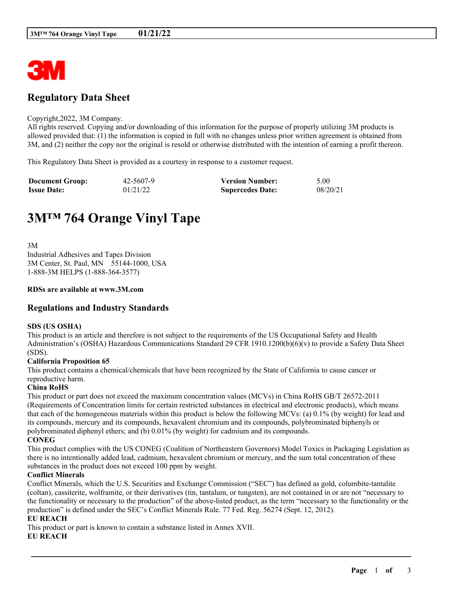

## **Regulatory Data Sheet**

#### Copyright,2022, 3M Company.

All rights reserved. Copying and/or downloading of this information for the purpose of properly utilizing 3M products is allowed provided that: (1) the information is copied in full with no changes unless prior written agreement is obtained from 3M, and (2) neither the copy nor the original is resold or otherwise distributed with the intention of earning a profit thereon.

This Regulatory Data Sheet is provided as a courtesy in response to a customer request.

| <b>Document Group:</b> | 42-5607-9 | <b>Version Number:</b>  | 5.00     |
|------------------------|-----------|-------------------------|----------|
| <b>Issue Date:</b>     | 01/21/22  | <b>Supercedes Date:</b> | 08/20/21 |

# **3M™ 764 Orange Vinyl Tape**

3M Industrial Adhesives and Tapes Division 3M Center, St. Paul, MN 55144-1000, USA 1-888-3M HELPS (1-888-364-3577)

#### **RDSs are available at www.3M.com**

## **Regulations and Industry Standards**

#### **SDS (US OSHA)**

This product is an article and therefore is not subject to the requirements of the US Occupational Safety and Health Administration's (OSHA) Hazardous Communications Standard 29 CFR 1910.1200(b)(6)(v) to provide a Safety Data Sheet (SDS).

#### **California Proposition 65**

This product contains a chemical/chemicals that have been recognized by the State of California to cause cancer or reproductive harm.

#### **China RoHS**

This product or part does not exceed the maximum concentration values (MCVs) in China RoHS GB/T 26572-2011 (Requirements of Concentration limits for certain restricted substances in electrical and electronic products), which means that each of the homogeneous materials within this product is below the following MCVs: (a) 0.1% (by weight) for lead and its compounds, mercury and its compounds, hexavalent chromium and its compounds, polybrominated biphenyls or polybrominated diphenyl ethers; and (b) 0.01% (by weight) for cadmium and its compounds. **CONEG**

This product complies with the US CONEG (Coalition of Northeastern Governors) Model Toxics in Packaging Legislation as there is no intentionally added lead, cadmium, hexavalent chromium or mercury, and the sum total concentration of these substances in the product does not exceed 100 ppm by weight.

### **Conflict Minerals**

Conflict Minerals, which the U.S. Securities and Exchange Commission ("SEC") has defined as gold, columbite-tantalite (coltan), cassiterite, wolframite, or their derivatives (tin, tantalum, or tungsten), are not contained in or are not "necessary to the functionality or necessary to the production" of the above-listed product, as the term "necessary to the functionality or the production" is defined under the SEC's Conflict Minerals Rule. 77 Fed. Reg. 56274 (Sept. 12, 2012).

\_\_\_\_\_\_\_\_\_\_\_\_\_\_\_\_\_\_\_\_\_\_\_\_\_\_\_\_\_\_\_\_\_\_\_\_\_\_\_\_\_\_\_\_\_\_\_\_\_\_\_\_\_\_\_\_\_\_\_\_\_\_\_\_\_\_\_\_\_\_\_\_\_\_\_\_\_\_\_\_\_\_\_\_\_\_\_\_\_\_

## **EU REACH**

This product or part is known to contain a substance listed in Annex XVII.

#### **EU REACH**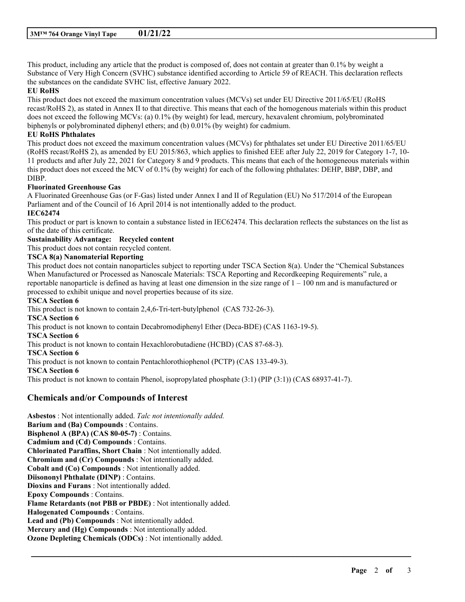This product, including any article that the product is composed of, does not contain at greater than 0.1% by weight a Substance of Very High Concern (SVHC) substance identified according to Article 59 of REACH. This declaration reflects the substances on the candidate SVHC list, effective January 2022.

#### **EU RoHS**

This product does not exceed the maximum concentration values (MCVs) set under EU Directive 2011/65/EU (RoHS recast/RoHS 2), as stated in Annex II to that directive. This means that each of the homogenous materials within this product does not exceed the following MCVs: (a) 0.1% (by weight) for lead, mercury, hexavalent chromium, polybrominated biphenyls or polybrominated diphenyl ethers; and (b) 0.01% (by weight) for cadmium.

#### **EU RoHS Phthalates**

This product does not exceed the maximum concentration values (MCVs) for phthalates set under EU Directive 2011/65/EU (RoHS recast/RoHS 2), as amended by EU 2015/863, which applies to finished EEE after July 22, 2019 for Category 1-7, 10- 11 products and after July 22, 2021 for Category 8 and 9 products. This means that each of the homogeneous materials within this product does not exceed the MCV of 0.1% (by weight) for each of the following phthalates: DEHP, BBP, DBP, and DIBP.

#### **Fluorinated Greenhouse Gas**

A Fluorinated Greenhouse Gas (or F-Gas) listed under Annex I and II of Regulation (EU) No 517/2014 of the European Parliament and of the Council of 16 April 2014 is not intentionally added to the product.

## **IEC62474**

This product or part is known to contain a substance listed in IEC62474. This declaration reflects the substances on the list as of the date of this certificate.

## **Sustainability Advantage: Recycled content**

This product does not contain recycled content.

#### **TSCA 8(a) Nanomaterial Reporting**

This product does not contain nanoparticles subject to reporting under TSCA Section 8(a). Under the "Chemical Substances When Manufactured or Processed as Nanoscale Materials: TSCA Reporting and Recordkeeping Requirements" rule, a reportable nanoparticle is defined as having at least one dimension in the size range of  $1 - 100$  nm and is manufactured or processed to exhibit unique and novel properties because of its size.

\_\_\_\_\_\_\_\_\_\_\_\_\_\_\_\_\_\_\_\_\_\_\_\_\_\_\_\_\_\_\_\_\_\_\_\_\_\_\_\_\_\_\_\_\_\_\_\_\_\_\_\_\_\_\_\_\_\_\_\_\_\_\_\_\_\_\_\_\_\_\_\_\_\_\_\_\_\_\_\_\_\_\_\_\_\_\_\_\_\_

#### **TSCA Section 6**

This product is not known to contain 2,4,6-Tri-tert-butylphenol (CAS 732-26-3). **TSCA Section 6** This product is not known to contain Decabromodiphenyl Ether (Deca-BDE) (CAS 1163-19-5). **TSCA Section 6** This product is not known to contain Hexachlorobutadiene (HCBD) (CAS 87-68-3). **TSCA Section 6** This product is not known to contain Pentachlorothiophenol (PCTP) (CAS 133-49-3). **TSCA Section 6** This product is not known to contain Phenol, isopropylated phosphate (3:1) (PIP (3:1)) (CAS 68937-41-7).

## **Chemicals and/or Compounds of Interest**

**Asbestos** : Not intentionally added. *Talc not intentionally added.* **Barium and (Ba) Compounds** : Contains. **Bisphenol A (BPA) (CAS 80-05-7)** : Contains. **Cadmium and (Cd) Compounds** : Contains. **Chlorinated Paraffins, Short Chain** : Not intentionally added. **Chromium and (Cr) Compounds** : Not intentionally added. **Cobalt and (Co) Compounds** : Not intentionally added. **Diisononyl Phthalate (DINP)** : Contains. **Dioxins and Furans** : Not intentionally added. **Epoxy Compounds** : Contains. **Flame Retardants (not PBB or PBDE)** : Not intentionally added. **Halogenated Compounds** : Contains. **Lead and (Pb) Compounds** : Not intentionally added. **Mercury and (Hg) Compounds** : Not intentionally added. **Ozone Depleting Chemicals (ODCs)** : Not intentionally added.